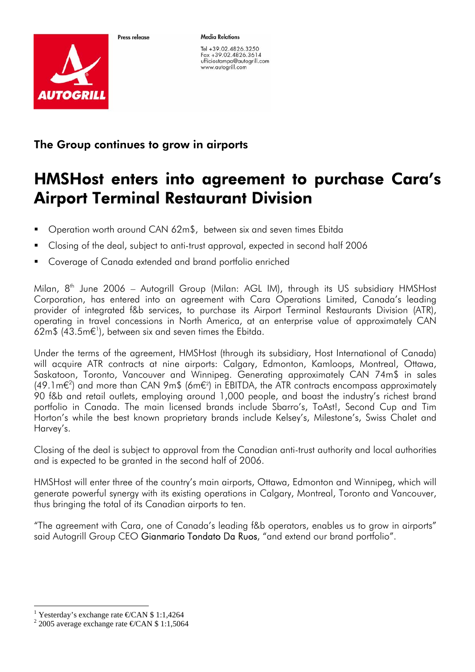



Tel +39.02.4826.3250 Fax +39.02.4826.3614 ufficiostampa@autogrill.com www.autogrill.com

The Group continues to grow in girports

Proce release

## HMSHost enters into agreement to purchase Cara's Airport Terminal Restaurant Division

- Operation worth around CAN 62m\$, between six and seven times Ebitda
- Closing of the deal, subject to anti-trust approval, expected in second half 2006
- Coverage of Canada extended and brand portfolio enriched

Milan,  $8<sup>th</sup>$  June 2006 – Autogrill Group (Milan: AGL IM), through its US subsidiary HMSHost Corporation, has entered into an agreement with Cara Operations Limited, Canada's leading provider of integrated f&b services, to purchase its Airport Terminal Restaurants Division (ATR), operating in travel concessions in North America, at an enterprise value of approximately CAN 62m\$ (43.5m $\epsilon$ <sup>1</sup>), between six and seven times the Ebitda.

Under the terms of the agreement, HMSHost (through its subsidiary, Host International of Canada) will acquire ATR contracts at nine airports: Calgary, Edmonton, Kamloops, Montreal, Ottawa, Saskatoon, Toronto, Vancouver and Winnipeg. Generating approximately CAN 74m\$ in sales  $(49.1\,\text{m} \epsilon^2)$  and more than CAN 9m\$ (6m $\epsilon^2$ ) in EBITDA, the ATR contracts encompass approximately 90 f&b and retail outlets, employing around 1,000 people, and boast the industry's richest brand portfolio in Canada. The main licensed brands include Sbarro's, ToAst!, Second Cup and Tim Horton's while the best known proprietary brands include Kelsey's, Milestone's, Swiss Chalet and Harvey's.

Closing of the deal is subject to approval from the Canadian anti-trust authority and local authorities and is expected to be granted in the second half of 2006.

HMSHost will enter three of the country's main airports, Ottawa, Edmonton and Winnipeg, which will generate powerful synergy with its existing operations in Calgary, Montreal, Toronto and Vancouver, thus bringing the total of its Canadian airports to ten.

"The agreement with Cara, one of Canada's leading f&b operators, enables us to grow in airports" said Autogrill Group CEO Gianmario Tondato Da Ruos, "and extend our brand portfolio".

 <sup>1</sup> Yesterday's exchange rate  $\epsilon$ CAN \$ 1:1,4264

 $2\,2005$  average exchange rate  $\epsilon$ CAN \$ 1:1,5064